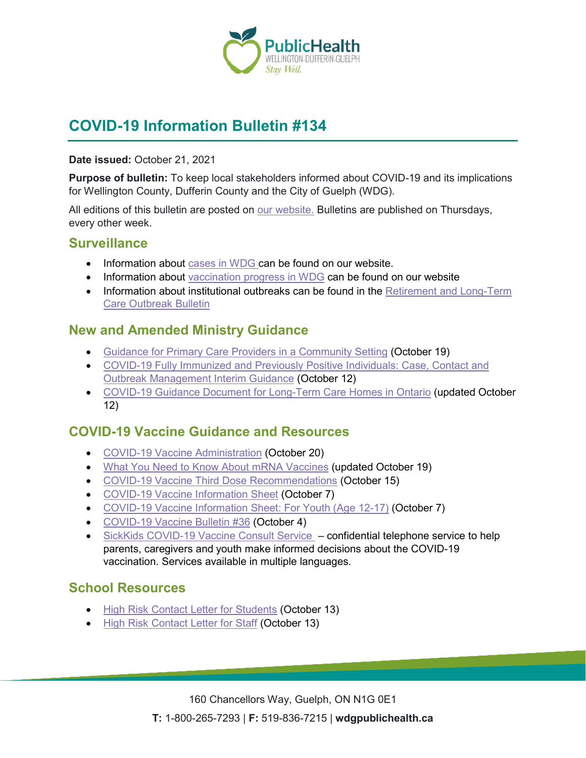

# **COVID-19 Information Bulletin #134**

#### **Date issued:** October 21, 2021

**Purpose of bulletin:** To keep local stakeholders informed about COVID-19 and its implications for Wellington County, Dufferin County and the City of Guelph (WDG).

All editions of this bulletin are posted on [our website.](https://www.wdgpublichealth.ca/your-health/covid-19-information-workplaces-and-living-spaces/community-stakeholder-bulletins) Bulletins are published on Thursdays, every other week.

### **Surveillance**

- Information about [cases in WDG](https://wdgpublichealth.ca/your-health/covid-19-information-public/status-cases-wdg) can be found on our website.
- Information about [vaccination progress](https://www.wdgpublichealth.ca/your-health/covid-19-information-public/covid-19-vaccine-information-public) in WDG can be found on our website
- Information about institutional outbreaks can be found in the Retirement and Long-Term [Care Outbreak Bulletin](https://wdgpublichealth.ca/node/1542)

# **New and Amended Ministry Guidance**

- [Guidance for Primary Care Providers in a Community Setting](https://www.health.gov.on.ca/en/pro/programs/publichealth/coronavirus/docs/2019_primary_care_guidance.pdf) (October 19)
- [COVID-19 Fully Immunized and Previously Positive Individuals: Case, Contact and](https://www.health.gov.on.ca/en/pro/programs/publichealth/coronavirus/docs/contact_mngmt/COVID-19_fully_vaccinated_interim_guidance.pdf)  [Outbreak Management Interim Guidance](https://www.health.gov.on.ca/en/pro/programs/publichealth/coronavirus/docs/contact_mngmt/COVID-19_fully_vaccinated_interim_guidance.pdf) (October 12)
- [COVID-19 Guidance Document for Long-Term Care Homes in Ontario](https://www.ontario.ca/page/covid-19-guidance-document-long-term-care-homes-ontario?_ga=2.234187609.612382616.1634738087-1123331746.1579028832) (updated October 12)

## **COVID-19 Vaccine Guidance and Resources**

- [COVID-19 Vaccine Administration](https://www.health.gov.on.ca/en/pro/programs/publichealth/coronavirus/docs/vaccine/COVID-19_vaccine_administration.pdf) (October 20)
- [What You Need to Know About mRNA Vaccines](https://www.publichealthontario.ca/-/media/documents/ncov/factsheet/2021/01/vac/factsheet-covid-19-vaccines.pdf?la=en&sc_lang=en&hash=4589F4B2FB402FDD011372160FAA6983) (updated October 19)
- [COVID-19 Vaccine Third Dose Recommendations](https://www.health.gov.on.ca/en/pro/programs/publichealth/coronavirus/docs/vaccine/COVID-19_vaccine_third_dose_recommendations.pdf) (October 15)
- [COVID-19 Vaccine Information Sheet](https://www.health.gov.on.ca/en/pro/programs/publichealth/coronavirus/docs/vaccine/COVID-19_vaccine_info_sheet.pdf) (October 7)
- [COVID-19 Vaccine Information Sheet: For Youth \(Age 12-17\)](https://www.health.gov.on.ca/en/pro/programs/publichealth/coronavirus/docs/vaccine/COVID-19_vaccine_information_sheet_youth.pdf) (October 7)
- COVID-19 [Vaccine Bulletin #36](https://wdgpublichealth.ca/sites/default/files/wdgph_covid-19_vaccine_bulletin_36_oct_4_2021.pdf) (October 4)
- [SickKids COVID-19 Vaccine Consult Service](https://www.sickkids.ca/en/care-services/support-services/covid-19-vaccine-consult/)  confidential telephone service to help parents, caregivers and youth make informed decisions about the COVID-19 vaccination. Services available in multiple languages.

## **School Resources**

- [High Risk Contact Letter for Students](https://wdgpublichealth.ca/sites/default/files/file-attachments/high_risk_contact_letter_for_students.pdf) (October 13)
- [High Risk Contact Letter for Staff](https://wdgpublichealth.ca/sites/default/files/file-attachments/high_risk_contact_letter_for_staff.pdf) (October 13)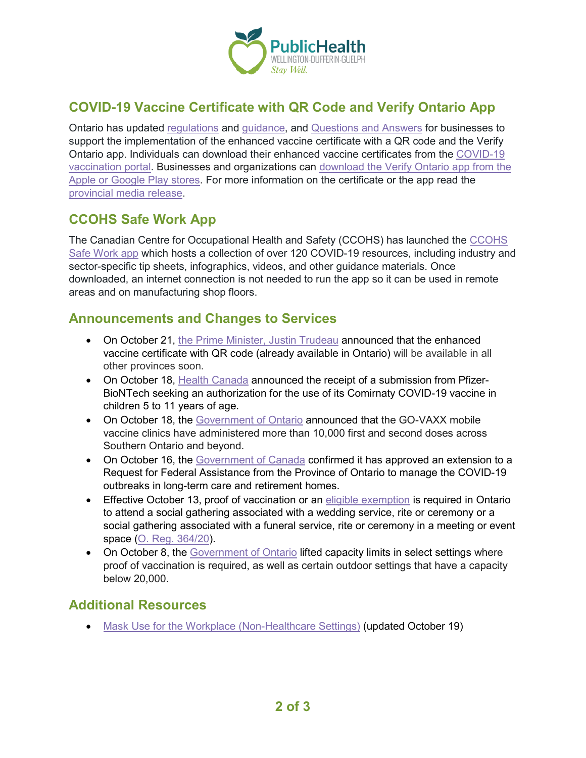

# **COVID-19 Vaccine Certificate with QR Code and Verify Ontario App**

Ontario has updated [regulations](https://www.ontario.ca/laws/regulation/200364) and [guidance,](https://www.health.gov.on.ca/EN/pro/programs/publichealth/coronavirus/docs/guidance_proof_of_vaccination_for_businesses_and_organizations.pdf) and [Questions and Answers](https://www.health.gov.on.ca/en/pro/programs/publichealth/coronavirus/docs/fq_proof_of_vaccination_for_businesses_and_organizations.pdf) for businesses to support the implementation of the enhanced vaccine certificate with a QR code and the Verify Ontario app. Individuals can download their enhanced vaccine certificates from the [COVID-19](https://covid19.ontariohealth.ca/)  [vaccination portal.](https://covid19.ontariohealth.ca/) Businesses and organizations can [download the Verify Ontario app](https://covid-19.ontario.ca/verify?utm_source=newsroom&utm_medium=email&utm_campaign=%2Fen%2Frelease%2F1000979%2Fenhanced-covid-19-vaccine-certificate-with-qr-code-and-verify-ontario-app-available-for-download-starting-october-15&utm_term=public) from the Apple or [Google Play stores.](https://covid-19.ontario.ca/verify?utm_source=newsroom&utm_medium=email&utm_campaign=%2Fen%2Frelease%2F1000979%2Fenhanced-covid-19-vaccine-certificate-with-qr-code-and-verify-ontario-app-available-for-download-starting-october-15&utm_term=public) For more information on the certificate or the app read the [provincial media release.](https://news.ontario.ca/en/release/1000979/enhanced-covid-19-vaccine-certificate-with-qr-code-and-verify-ontario-app-available-for-download-starting-october-15)

# **CCOHS Safe Work App**

The Canadian Centre for Occupational Health and Safety (CCOHS) has launched the CCOHS [Safe Work app](https://www.ccohs.ca/products/safework-app/) which hosts a collection of over 120 COVID-19 resources, including industry and sector-specific tip sheets, infographics, videos, and other guidance materials. Once downloaded, an internet connection is not needed to run the app so it can be used in remote areas and on manufacturing shop floors.

### **Announcements and Changes to Services**

- On October 21, [the Prime Minister, Justin Trudeau](https://pm.gc.ca/en/news/news-releases/2021/10/21/prime-minister-announces-standardized-canadian-covid-19-proof) announced that the enhanced vaccine certificate with QR code (already available in Ontario) will be available in all other provinces soon.
- On October 18, [Health Canada](https://www.canada.ca/en/health-canada/news/2021/10/health-canada-receives-submission-from-pfizer-biontech-to-authorize-the-use-of-comirnaty-covid-19-vaccine-in-children-5-to-11-years-of-age.html) announced the receipt of a submission from Pfizer-BioNTech seeking an authorization for the use of its Comirnaty COVID-19 vaccine in children 5 to 11 years of age.
- On October 18, the [Government of Ontario](https://news.ontario.ca/en/release/1000990/go-vaxx-mobile-vaccine-clinics-achieve-major-milestone) announced that the GO-VAXX mobile vaccine clinics have administered more than 10,000 first and second doses across Southern Ontario and beyond.
- On October 16, the [Government of Canada](https://www.canada.ca/en/public-safety-canada/news/2021/10/support-for-long-term-care-homes-in-ontario-extended-to-manage-covid-19-outbreaks.html) confirmed it has approved an extension to a Request for Federal Assistance from the Province of Ontario to manage the COVID-19 outbreaks in long-term care and retirement homes.
- Effective October 13, proof of vaccination or an [eligible exemption](https://covid-19.ontario.ca/proof-covid-19-vaccination#exemptions) is required in Ontario to attend a social gathering associated with a wedding service, rite or ceremony or a social gathering associated with a funeral service, rite or ceremony in a meeting or event space [\(O. Reg. 364/20\)](https://www.ontario.ca/laws/regulation/200364).
- On October 8, the [Government of Ontario](https://news.ontario.ca/en/release/1000947/ontario-cautiously-lifting-capacity-limits-in-select-settings) lifted capacity limits in select settings where proof of vaccination is required, as well as certain outdoor settings that have a capacity below 20,000.

# **Additional Resources**

• [Mask Use for the Workplace \(Non-Healthcare Settings\)](https://www.publichealthontario.ca/-/media/documents/ncov/factsheet/2020/05/factsheet-covid-19-masks-not-healthcare.pdf?la=en&sc_lang=en&hash=5EEC89AE3E2B3938E13626AC198924E3) (updated October 19)